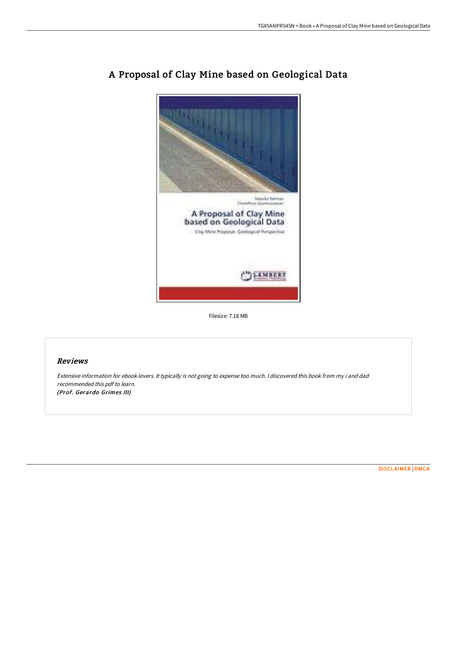

# A Proposal of Clay Mine based on Geological Data

Filesize: 7.18 MB

# Reviews

Extensive information for ebook lovers. It typically is not going to expense too much. <sup>I</sup> discovered this book from my i and dad recommended this pdf to learn. (Prof. Gerardo Grimes III)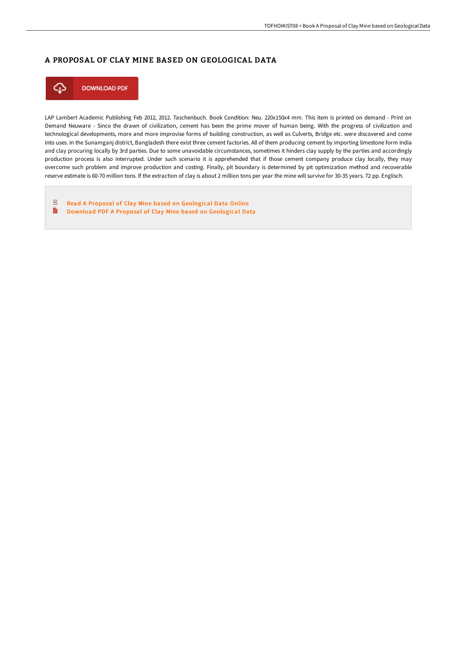## A PROPOSAL OF CLAY MINE BASED ON GEOLOGICAL DATA



LAP Lambert Academic Publishing Feb 2012, 2012. Taschenbuch. Book Condition: Neu. 220x150x4 mm. This item is printed on demand - Print on Demand Neuware - Since the drawn of civilization, cement has been the prime mover of human being. With the progress of civilization and technological developments, more and more improvise forms of building construction, as well as Culverts, Bridge etc. were discovered and come into uses. In the Sunamganj district, Bangladesh there exist three cement factories. All of them producing cement by importing limestone form India and clay procuring locally by 3rd parties. Due to some unavoidable circumstances, sometimes it hinders clay supply by the parties and accordingly production process is also interrupted. Under such scenario it is apprehended that if those cement company produce clay locally, they may overcome such problem and improve production and costing. Finally, pit boundary is determined by pit optimization method and recoverable reserve estimate is 60-70 million tons. If the extraction of clay is about 2 million tons per year the mine will survive for 30-35 years. 72 pp. Englisch.

 $\overline{\mathbf{P}^{\mathbf{p}}}$ Read A Proposal of Clay Mine based on [Geological](http://www.dailydocs.site/a-proposal-of-clay-mine-based-on-geological-data.html) Data Online E Download PDF A Proposal of Clay Mine based on [Geological](http://www.dailydocs.site/a-proposal-of-clay-mine-based-on-geological-data.html) Data